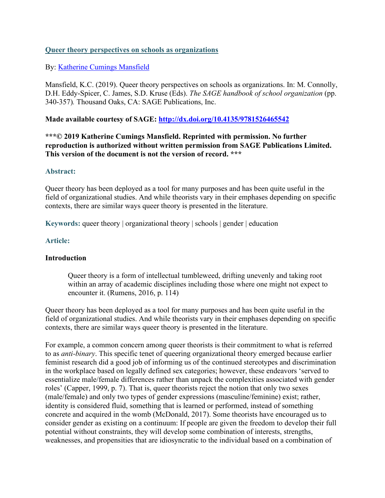## **Queer theory perspectives on schools as organizations**

## By: [Katherine Cumings Mansfield](https://libres.uncg.edu/ir/uncg/clist.aspx?id=24135)

Mansfield, K.C. (2019). Queer theory perspectives on schools as organizations. In: M. Connolly, D.H. Eddy-Spicer, C. James, S.D. Kruse (Eds). *The SAGE handbook of school organization* (pp. 340-357)*.* Thousand Oaks, CA: SAGE Publications, Inc.

### **Made available courtesy of SAGE:<http://dx.doi.org/10.4135/9781526465542>**

**\*\*\*© 2019 Katherine Cumings Mansfield. Reprinted with permission. No further reproduction is authorized without written permission from SAGE Publications Limited. This version of the document is not the version of record. \*\*\***

#### **Abstract:**

Queer theory has been deployed as a tool for many purposes and has been quite useful in the field of organizational studies. And while theorists vary in their emphases depending on specific contexts, there are similar ways queer theory is presented in the literature.

**Keywords:** queer theory | organizational theory | schools | gender | education

#### **Article:**

### **Introduction**

Queer theory is a form of intellectual tumbleweed, drifting unevenly and taking root within an array of academic disciplines including those where one might not expect to encounter it. (Rumens, 2016, p. 114)

Queer theory has been deployed as a tool for many purposes and has been quite useful in the field of organizational studies. And while theorists vary in their emphases depending on specific contexts, there are similar ways queer theory is presented in the literature.

For example, a common concern among queer theorists is their commitment to what is referred to as *anti-binary*. This specific tenet of queering organizational theory emerged because earlier feminist research did a good job of informing us of the continued stereotypes and discrimination in the workplace based on legally defined sex categories; however, these endeavors 'served to essentialize male/female differences rather than unpack the complexities associated with gender roles' (Capper, 1999, p. 7). That is, queer theorists reject the notion that only two sexes (male/female) and only two types of gender expressions (masculine/feminine) exist; rather, identity is considered fluid, something that is learned or performed, instead of something concrete and acquired in the womb (McDonald, 2017). Some theorists have encouraged us to consider gender as existing on a continuum: If people are given the freedom to develop their full potential without constraints, they will develop some combination of interests, strengths, weaknesses, and propensities that are idiosyncratic to the individual based on a combination of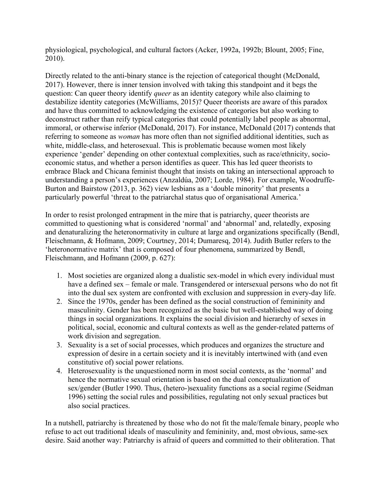physiological, psychological, and cultural factors (Acker, 1992a, 1992b; Blount, 2005; Fine, 2010).

Directly related to the anti-binary stance is the rejection of categorical thought (McDonald, 2017). However, there is inner tension involved with taking this standpoint and it begs the question: Can queer theory identify *queer* as an identity category while also claiming to destabilize identity categories (McWilliams, 2015)? Queer theorists are aware of this paradox and have thus committed to acknowledging the existence of categories but also working to deconstruct rather than reify typical categories that could potentially label people as abnormal, immoral, or otherwise inferior (McDonald, 2017). For instance, McDonald (2017) contends that referring to someone as *woman* has more often than not signified additional identities, such as white, middle-class, and heterosexual. This is problematic because women most likely experience 'gender' depending on other contextual complexities, such as race/ethnicity, socioeconomic status, and whether a person identifies as queer. This has led queer theorists to embrace Black and Chicana feminist thought that insists on taking an intersectional approach to understanding a person's experiences (Anzaldúa, 2007; Lorde, 1984). For example, Woodruffe-Burton and Bairstow (2013, p. 362) view lesbians as a 'double minority' that presents a particularly powerful 'threat to the patriarchal status quo of organisational America.'

In order to resist prolonged entrapment in the mire that is patriarchy, queer theorists are committed to questioning what is considered 'normal' and 'abnormal' and, relatedly, exposing and denaturalizing the heteronormativity in culture at large and organizations specifically (Bendl, Fleischmann, & Hofmann, 2009; Courtney, 2014; Dumaresq, 2014). Judith Butler refers to the 'heteronormative matrix' that is composed of four phenomena, summarized by Bendl, Fleischmann, and Hofmann (2009, p. 627):

- 1. Most societies are organized along a dualistic sex-model in which every individual must have a defined sex – female or male. Transgendered or intersexual persons who do not fit into the dual sex system are confronted with exclusion and suppression in every-day life.
- 2. Since the 1970s, gender has been defined as the social construction of femininity and masculinity. Gender has been recognized as the basic but well-established way of doing things in social organizations. It explains the social division and hierarchy of sexes in political, social, economic and cultural contexts as well as the gender-related patterns of work division and segregation.
- 3. Sexuality is a set of social processes, which produces and organizes the structure and expression of desire in a certain society and it is inevitably intertwined with (and even constitutive of) social power relations.
- 4. Heterosexuality is the unquestioned norm in most social contexts, as the 'normal' and hence the normative sexual orientation is based on the dual conceptualization of sex/gender (Butler 1990. Thus, (hetero-)sexuality functions as a social regime (Seidman 1996) setting the social rules and possibilities, regulating not only sexual practices but also social practices.

In a nutshell, patriarchy is threatened by those who do not fit the male/female binary, people who refuse to act out traditional ideals of masculinity and femininity, and, most obvious, same-sex desire. Said another way: Patriarchy is afraid of queers and committed to their obliteration. That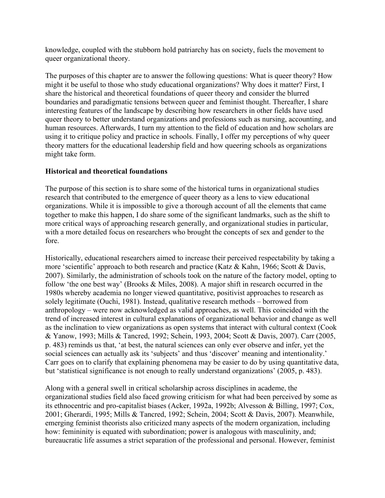knowledge, coupled with the stubborn hold patriarchy has on society, fuels the movement to queer organizational theory.

The purposes of this chapter are to answer the following questions: What is queer theory? How might it be useful to those who study educational organizations? Why does it matter? First, I share the historical and theoretical foundations of queer theory and consider the blurred boundaries and paradigmatic tensions between queer and feminist thought. Thereafter, I share interesting features of the landscape by describing how researchers in other fields have used queer theory to better understand organizations and professions such as nursing, accounting, and human resources. Afterwards, I turn my attention to the field of education and how scholars are using it to critique policy and practice in schools. Finally, I offer my perceptions of why queer theory matters for the educational leadership field and how queering schools as organizations might take form.

## **Historical and theoretical foundations**

The purpose of this section is to share some of the historical turns in organizational studies research that contributed to the emergence of queer theory as a lens to view educational organizations. While it is impossible to give a thorough account of all the elements that came together to make this happen, I do share some of the significant landmarks, such as the shift to more critical ways of approaching research generally, and organizational studies in particular, with a more detailed focus on researchers who brought the concepts of sex and gender to the fore.

Historically, educational researchers aimed to increase their perceived respectability by taking a more 'scientific' approach to both research and practice (Katz & Kahn, 1966; Scott & Davis, 2007). Similarly, the administration of schools took on the nature of the factory model, opting to follow 'the one best way' (Brooks & Miles, 2008). A major shift in research occurred in the 1980s whereby academia no longer viewed quantitative, positivist approaches to research as solely legitimate (Ouchi, 1981). Instead, qualitative research methods – borrowed from anthropology – were now acknowledged as valid approaches, as well. This coincided with the trend of increased interest in cultural explanations of organizational behavior and change as well as the inclination to view organizations as open systems that interact with cultural context (Cook & Yanow, 1993; Mills & Tancred, 1992; Schein, 1993, 2004; Scott & Davis, 2007). Carr (2005, p. 483) reminds us that, 'at best, the natural sciences can only ever observe and infer, yet the social sciences can actually ask its 'subjects' and thus 'discover' meaning and intentionality.' Carr goes on to clarify that explaining phenomena may be easier to do by using quantitative data, but 'statistical significance is not enough to really understand organizations' (2005, p. 483).

Along with a general swell in critical scholarship across disciplines in academe, the organizational studies field also faced growing criticism for what had been perceived by some as its ethnocentric and pro-capitalist biases (Acker, 1992a, 1992b; Alvesson & Billing, 1997; Cox, 2001; Gherardi, 1995; Mills & Tancred, 1992; Schein, 2004; Scott & Davis, 2007). Meanwhile, emerging feminist theorists also criticized many aspects of the modern organization, including how: femininity is equated with subordination; power is analogous with masculinity, and; bureaucratic life assumes a strict separation of the professional and personal. However, feminist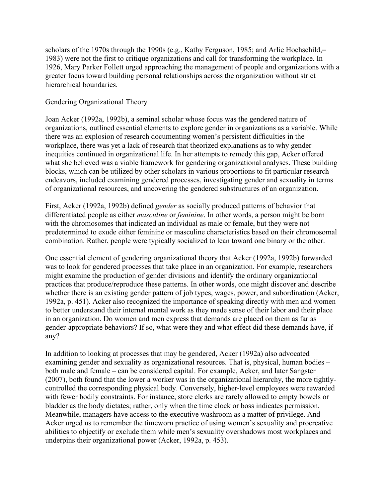scholars of the 1970s through the 1990s (e.g., Kathy Ferguson, 1985; and Arlie Hochschild,= 1983) were not the first to critique organizations and call for transforming the workplace. In 1926, Mary Parker Follett urged approaching the management of people and organizations with a greater focus toward building personal relationships across the organization without strict hierarchical boundaries.

## Gendering Organizational Theory

Joan Acker (1992a, 1992b), a seminal scholar whose focus was the gendered nature of organizations, outlined essential elements to explore gender in organizations as a variable. While there was an explosion of research documenting women's persistent difficulties in the workplace, there was yet a lack of research that theorized explanations as to why gender inequities continued in organizational life. In her attempts to remedy this gap, Acker offered what she believed was a viable framework for gendering organizational analyses. These building blocks, which can be utilized by other scholars in various proportions to fit particular research endeavors, included examining gendered processes, investigating gender and sexuality in terms of organizational resources, and uncovering the gendered substructures of an organization.

First, Acker (1992a, 1992b) defined *gender* as socially produced patterns of behavior that differentiated people as either *masculine* or *feminine*. In other words, a person might be born with the chromosomes that indicated an individual as male or female, but they were not predetermined to exude either feminine or masculine characteristics based on their chromosomal combination. Rather, people were typically socialized to lean toward one binary or the other.

One essential element of gendering organizational theory that Acker (1992a, 1992b) forwarded was to look for gendered processes that take place in an organization. For example, researchers might examine the production of gender divisions and identify the ordinary organizational practices that produce/reproduce these patterns. In other words, one might discover and describe whether there is an existing gender pattern of job types, wages, power, and subordination (Acker, 1992a, p. 451). Acker also recognized the importance of speaking directly with men and women to better understand their internal mental work as they made sense of their labor and their place in an organization. Do women and men express that demands are placed on them as far as gender-appropriate behaviors? If so, what were they and what effect did these demands have, if any?

In addition to looking at processes that may be gendered, Acker (1992a) also advocated examining gender and sexuality as organizational resources. That is, physical, human bodies – both male and female – can be considered capital. For example, Acker, and later Sangster (2007), both found that the lower a worker was in the organizational hierarchy, the more tightlycontrolled the corresponding physical body. Conversely, higher-level employees were rewarded with fewer bodily constraints. For instance, store clerks are rarely allowed to empty bowels or bladder as the body dictates; rather, only when the time clock or boss indicates permission. Meanwhile, managers have access to the executive washroom as a matter of privilege. And Acker urged us to remember the timeworn practice of using women's sexuality and procreative abilities to objectify or exclude them while men's sexuality overshadows most workplaces and underpins their organizational power (Acker, 1992a, p. 453).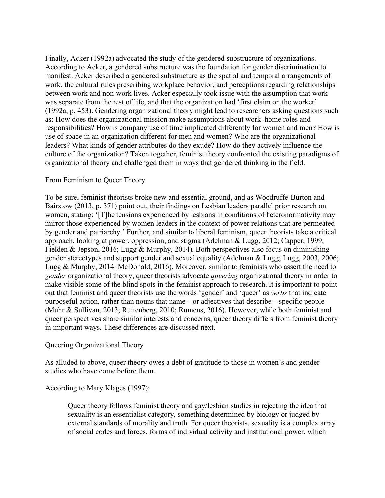Finally, Acker (1992a) advocated the study of the gendered substructure of organizations. According to Acker, a gendered substructure was the foundation for gender discrimination to manifest. Acker described a gendered substructure as the spatial and temporal arrangements of work, the cultural rules prescribing workplace behavior, and perceptions regarding relationships between work and non-work lives. Acker especially took issue with the assumption that work was separate from the rest of life, and that the organization had 'first claim on the worker' (1992a, p. 453). Gendering organizational theory might lead to researchers asking questions such as: How does the organizational mission make assumptions about work–home roles and responsibilities? How is company use of time implicated differently for women and men? How is use of space in an organization different for men and women? Who are the organizational leaders? What kinds of gender attributes do they exude? How do they actively influence the culture of the organization? Taken together, feminist theory confronted the existing paradigms of organizational theory and challenged them in ways that gendered thinking in the field.

## From Feminism to Queer Theory

To be sure, feminist theorists broke new and essential ground, and as Woodruffe-Burton and Bairstow (2013, p. 371) point out, their findings on Lesbian leaders parallel prior research on women, stating: '[T]he tensions experienced by lesbians in conditions of heteronormativity may mirror those experienced by women leaders in the context of power relations that are permeated by gender and patriarchy.' Further, and similar to liberal feminism, queer theorists take a critical approach, looking at power, oppression, and stigma (Adelman & Lugg, 2012; Capper, 1999; Fielden & Jepson, 2016; Lugg & Murphy, 2014). Both perspectives also focus on diminishing gender stereotypes and support gender and sexual equality (Adelman & Lugg; Lugg, 2003, 2006; Lugg & Murphy, 2014; McDonald, 2016). Moreover, similar to feminists who assert the need to *gender* organizational theory, queer theorists advocate *queering* organizational theory in order to make visible some of the blind spots in the feminist approach to research. It is important to point out that feminist and queer theorists use the words 'gender' and 'queer' as *verbs* that indicate purposeful action, rather than nouns that name – or adjectives that describe – specific people (Muhr & Sullivan, 2013; Ruitenberg, 2010; Rumens, 2016). However, while both feminist and queer perspectives share similar interests and concerns, queer theory differs from feminist theory in important ways. These differences are discussed next.

# Queering Organizational Theory

As alluded to above, queer theory owes a debt of gratitude to those in women's and gender studies who have come before them.

# According to Mary Klages (1997):

Queer theory follows feminist theory and gay/lesbian studies in rejecting the idea that sexuality is an essentialist category, something determined by biology or judged by external standards of morality and truth. For queer theorists, sexuality is a complex array of social codes and forces, forms of individual activity and institutional power, which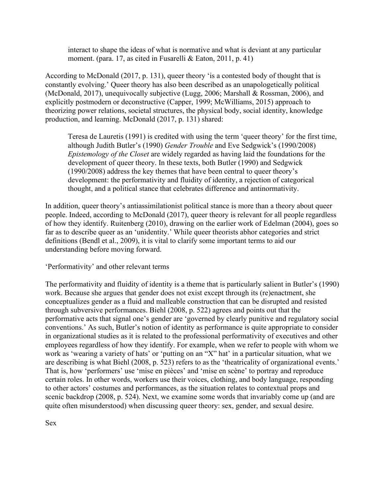interact to shape the ideas of what is normative and what is deviant at any particular moment. (para. 17, as cited in Fusarelli & Eaton, 2011, p. 41)

According to McDonald (2017, p. 131), queer theory 'is a contested body of thought that is constantly evolving.' Queer theory has also been described as an unapologetically political (McDonald, 2017), unequivocally subjective (Lugg, 2006; Marshall & Rossman, 2006), and explicitly postmodern or deconstructive (Capper, 1999; McWilliams, 2015) approach to theorizing power relations, societal structures, the physical body, social identity, knowledge production, and learning. McDonald (2017, p. 131) shared:

Teresa de Lauretis (1991) is credited with using the term 'queer theory' for the first time, although Judith Butler's (1990) *Gender Trouble* and Eve Sedgwick's (1990/2008) *Epistemology of the Closet* are widely regarded as having laid the foundations for the development of queer theory. In these texts, both Butler (1990) and Sedgwick (1990/2008) address the key themes that have been central to queer theory's development: the performativity and fluidity of identity, a rejection of categorical thought, and a political stance that celebrates difference and antinormativity.

In addition, queer theory's antiassimilationist political stance is more than a theory about queer people. Indeed, according to McDonald (2017), queer theory is relevant for all people regardless of how they identify. Ruitenberg (2010), drawing on the earlier work of Edelman (2004), goes so far as to describe queer as an 'unidentity.' While queer theorists abhor categories and strict definitions (Bendl et al., 2009), it is vital to clarify some important terms to aid our understanding before moving forward.

'Performativity' and other relevant terms

The performativity and fluidity of identity is a theme that is particularly salient in Butler's (1990) work. Because she argues that gender does not exist except through its (re)enactment, she conceptualizes gender as a fluid and malleable construction that can be disrupted and resisted through subversive performances. Biehl (2008, p. 522) agrees and points out that the performative acts that signal one's gender are 'governed by clearly punitive and regulatory social conventions.' As such, Butler's notion of identity as performance is quite appropriate to consider in organizational studies as it is related to the professional performativity of executives and other employees regardless of how they identify. For example, when we refer to people with whom we work as 'wearing a variety of hats' or 'putting on an "X" hat' in a particular situation, what we are describing is what Biehl (2008, p. 523) refers to as the 'theatricality of organizational events.' That is, how 'performers' use 'mise en pièces' and 'mise en scène' to portray and reproduce certain roles. In other words, workers use their voices, clothing, and body language, responding to other actors' costumes and performances, as the situation relates to contextual props and scenic backdrop (2008, p. 524). Next, we examine some words that invariably come up (and are quite often misunderstood) when discussing queer theory: sex, gender, and sexual desire.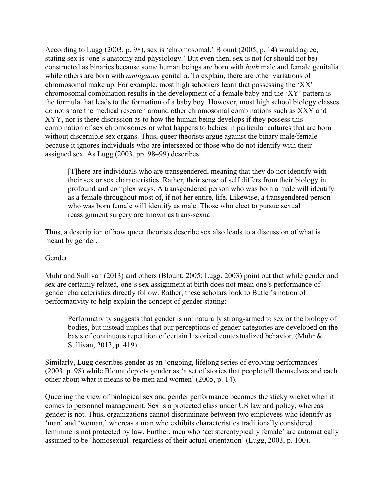According to Lugg (2003, p. 98), sex is 'chromosomal.' Blount (2005, p. 14) would agree, stating sex is 'one's anatomy and physiology.' But even then, sex is not (or should not be) constructed as binaries because some human beings are born with *both* male and female genitalia while others are born with *ambiguous* genitalia. To explain, there are other variations of chromosomal make up. For example, most high schoolers learn that possessing the 'XX' chromosomal combination results in the development of a female baby and the 'XY' pattern is the formula that leads to the formation of a baby boy. However, most high school biology classes do not share the medical research around other chromosomal combinations such as XXY and XYY, nor is there discussion as to how the human being develops if they possess this combination of sex chromosomes or what happens to babies in particular cultures that are born without discernible sex organs. Thus, queer theorists argue against the binary male/female because it ignores individuals who are intersexed or those who do not identify with their assigned sex. As Lugg (2003, pp. 98–99) describes:

[T]here are individuals who are transgendered, meaning that they do not identify with their sex or sex characteristics. Rather, their sense of self differs from their biology in profound and complex ways. A transgendered person who was born a male will identify as a female throughout most of, if not her entire, life. Likewise, a transgendered person who was born female will identify as male. Those who elect to pursue sexual reassignment surgery are known as trans-sexual.

Thus, a description of how queer theorists describe sex also leads to a discussion of what is meant by gender.

### Gender

Muhr and Sullivan (2013) and others (Blount, 2005; Lugg, 2003) point out that while gender and sex are certainly related, one's sex assignment at birth does not mean one's performance of gender characteristics directly follow. Rather, these scholars look to Butler's notion of performativity to help explain the concept of gender stating:

Performativity suggests that gender is not naturally strong-armed to sex or the biology of bodies, but instead implies that our perceptions of gender categories are developed on the basis of continuous repetition of certain historical contextualized behavior. (Muhr & Sullivan, 2013, p. 419)

Similarly, Lugg describes gender as an 'ongoing, lifelong series of evolving performances' (2003, p. 98) while Blount depicts gender as 'a set of stories that people tell themselves and each other about what it means to be men and women' (2005, p. 14).

Queering the view of biological sex and gender performance becomes the sticky wicket when it comes to personnel management. Sex is a protected class under US law and policy, whereas gender is not. Thus, organizations cannot discriminate between two employees who identify as 'man' and 'woman,' whereas a man who exhibits characteristics traditionally considered feminine is not protected by law. Further, men who 'act stereotypically female' are automatically assumed to be 'homosexual–regardless of their actual orientation' (Lugg, 2003, p. 100).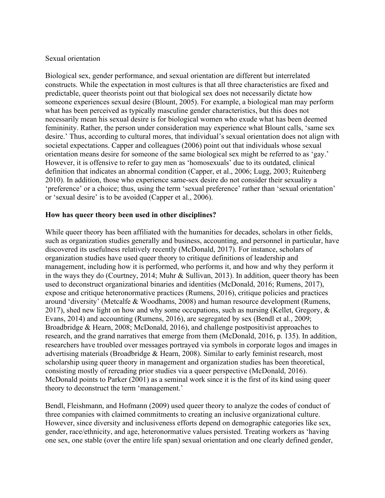#### Sexual orientation

Biological sex, gender performance, and sexual orientation are different but interrelated constructs. While the expectation in most cultures is that all three characteristics are fixed and predictable, queer theorists point out that biological sex does not necessarily dictate how someone experiences sexual desire (Blount, 2005). For example, a biological man may perform what has been perceived as typically masculine gender characteristics, but this does not necessarily mean his sexual desire is for biological women who exude what has been deemed femininity. Rather, the person under consideration may experience what Blount calls, 'same sex desire.' Thus, according to cultural mores, that individual's sexual orientation does not align with societal expectations. Capper and colleagues (2006) point out that individuals whose sexual orientation means desire for someone of the same biological sex might be referred to as 'gay.' However, it is offensive to refer to gay men as 'homosexuals' due to its outdated, clinical definition that indicates an abnormal condition (Capper, et al., 2006; Lugg, 2003; Ruitenberg 2010). In addition, those who experience same-sex desire do not consider their sexuality a 'preference' or a choice; thus, using the term 'sexual preference' rather than 'sexual orientation' or 'sexual desire' is to be avoided (Capper et al., 2006).

### **How has queer theory been used in other disciplines?**

While queer theory has been affiliated with the humanities for decades, scholars in other fields, such as organization studies generally and business, accounting, and personnel in particular, have discovered its usefulness relatively recently (McDonald, 2017). For instance, scholars of organization studies have used queer theory to critique definitions of leadership and management, including how it is performed, who performs it, and how and why they perform it in the ways they do (Courtney, 2014; Muhr & Sullivan, 2013). In addition, queer theory has been used to deconstruct organizational binaries and identities (McDonald, 2016; Rumens, 2017), expose and critique heteronormative practices (Rumens, 2016), critique policies and practices around 'diversity' (Metcalfe & Woodhams, 2008) and human resource development (Rumens, 2017), shed new light on how and why some occupations, such as nursing (Kellet, Gregory,  $\&$ Evans, 2014) and accounting (Rumens, 2016), are segregated by sex (Bendl et al., 2009; Broadbridge & Hearn, 2008; McDonald, 2016), and challenge postpositivist approaches to research, and the grand narratives that emerge from them (McDonald, 2016, p. 135). In addition, researchers have troubled over messages portrayed via symbols in corporate logos and images in advertising materials (Broadbridge & Hearn, 2008). Similar to early feminist research, most scholarship using queer theory in management and organization studies has been theoretical, consisting mostly of rereading prior studies via a queer perspective (McDonald, 2016). McDonald points to Parker (2001) as a seminal work since it is the first of its kind using queer theory to deconstruct the term 'management.'

Bendl, Fleishmann, and Hofmann (2009) used queer theory to analyze the codes of conduct of three companies with claimed commitments to creating an inclusive organizational culture. However, since diversity and inclusiveness efforts depend on demographic categories like sex, gender, race/ethnicity, and age, heteronormative values persisted. Treating workers as 'having one sex, one stable (over the entire life span) sexual orientation and one clearly defined gender,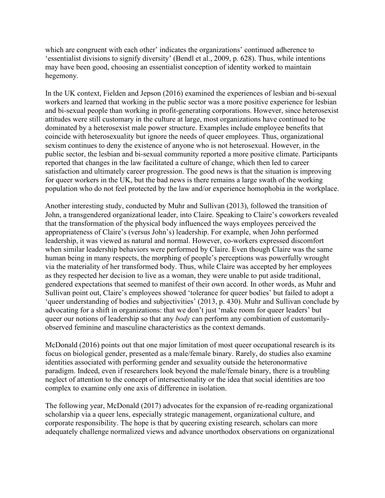which are congruent with each other' indicates the organizations' continued adherence to 'essentialist divisions to signify diversity' (Bendl et al., 2009, p. 628). Thus, while intentions may have been good, choosing an essentialist conception of identity worked to maintain hegemony.

In the UK context, Fielden and Jepson (2016) examined the experiences of lesbian and bi-sexual workers and learned that working in the public sector was a more positive experience for lesbian and bi-sexual people than working in profit-generating corporations. However, since heterosexist attitudes were still customary in the culture at large, most organizations have continued to be dominated by a heterosexist male power structure. Examples include employee benefits that coincide with heterosexuality but ignore the needs of queer employees. Thus, organizational sexism continues to deny the existence of anyone who is not heterosexual. However, in the public sector, the lesbian and bi-sexual community reported a more positive climate. Participants reported that changes in the law facilitated a culture of change, which then led to career satisfaction and ultimately career progression. The good news is that the situation is improving for queer workers in the UK, but the bad news is there remains a large swath of the working population who do not feel protected by the law and/or experience homophobia in the workplace.

Another interesting study, conducted by Muhr and Sullivan (2013), followed the transition of John, a transgendered organizational leader, into Claire. Speaking to Claire's coworkers revealed that the transformation of the physical body influenced the ways employees perceived the appropriateness of Claire's (versus John's) leadership. For example, when John performed leadership, it was viewed as natural and normal. However, co-workers expressed discomfort when similar leadership behaviors were performed by Claire. Even though Claire was the same human being in many respects, the morphing of people's perceptions was powerfully wrought via the materiality of her transformed body. Thus, while Claire was accepted by her employees as they respected her decision to live as a woman, they were unable to put aside traditional, gendered expectations that seemed to manifest of their own accord. In other words, as Muhr and Sullivan point out, Claire's employees showed 'tolerance for queer bodies' but failed to adopt a 'queer understanding of bodies and subjectivities' (2013, p. 430). Muhr and Sullivan conclude by advocating for a shift in organizations: that we don't just 'make room for queer leaders' but queer our notions of leadership so that any *body* can perform any combination of customarilyobserved feminine and masculine characteristics as the context demands.

McDonald (2016) points out that one major limitation of most queer occupational research is its focus on biological gender, presented as a male/female binary. Rarely, do studies also examine identities associated with performing gender and sexuality outside the heteronormative paradigm. Indeed, even if researchers look beyond the male/female binary, there is a troubling neglect of attention to the concept of intersectionality or the idea that social identities are too complex to examine only one axis of difference in isolation.

The following year, McDonald (2017) advocates for the expansion of re-reading organizational scholarship via a queer lens, especially strategic management, organizational culture, and corporate responsibility. The hope is that by queering existing research, scholars can more adequately challenge normalized views and advance unorthodox observations on organizational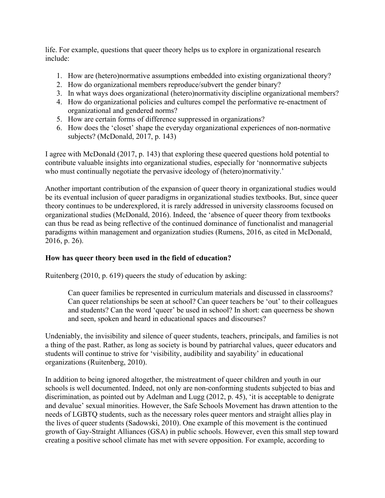life. For example, questions that queer theory helps us to explore in organizational research include:

- 1. How are (hetero)normative assumptions embedded into existing organizational theory?
- 2. How do organizational members reproduce/subvert the gender binary?
- 3. In what ways does organizational (hetero)normativity discipline organizational members?
- 4. How do organizational policies and cultures compel the performative re-enactment of organizational and gendered norms?
- 5. How are certain forms of difference suppressed in organizations?
- 6. How does the 'closet' shape the everyday organizational experiences of non-normative subjects? (McDonald, 2017, p. 143)

I agree with McDonald (2017, p. 143) that exploring these queered questions hold potential to contribute valuable insights into organizational studies, especially for 'nonnormative subjects who must continually negotiate the pervasive ideology of (hetero)normativity.'

Another important contribution of the expansion of queer theory in organizational studies would be its eventual inclusion of queer paradigms in organizational studies textbooks. But, since queer theory continues to be underexplored, it is rarely addressed in university classrooms focused on organizational studies (McDonald, 2016). Indeed, the 'absence of queer theory from textbooks can thus be read as being reflective of the continued dominance of functionalist and managerial paradigms within management and organization studies (Rumens, 2016, as cited in McDonald, 2016, p. 26).

# **How has queer theory been used in the field of education?**

Ruitenberg (2010, p. 619) queers the study of education by asking:

Can queer families be represented in curriculum materials and discussed in classrooms? Can queer relationships be seen at school? Can queer teachers be 'out' to their colleagues and students? Can the word 'queer' be used in school? In short: can queerness be shown and seen, spoken and heard in educational spaces and discourses?

Undeniably, the invisibility and silence of queer students, teachers, principals, and families is not a thing of the past. Rather, as long as society is bound by patriarchal values, queer educators and students will continue to strive for 'visibility, audibility and sayability' in educational organizations (Ruitenberg, 2010).

In addition to being ignored altogether, the mistreatment of queer children and youth in our schools is well documented. Indeed, not only are non-conforming students subjected to bias and discrimination, as pointed out by Adelman and Lugg (2012, p. 45), 'it is acceptable to denigrate and devalue' sexual minorities. However, the Safe Schools Movement has drawn attention to the needs of LGBTQ students, such as the necessary roles queer mentors and straight allies play in the lives of queer students (Sadowski, 2010). One example of this movement is the continued growth of Gay-Straight Alliances (GSA) in public schools. However, even this small step toward creating a positive school climate has met with severe opposition. For example, according to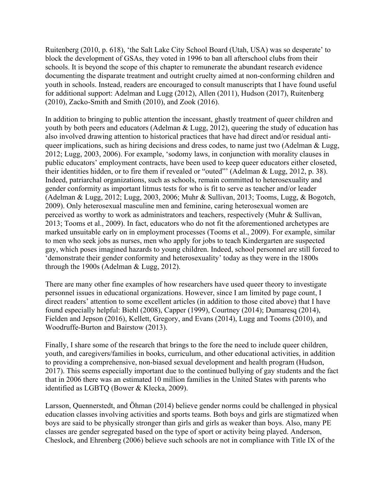Ruitenberg (2010, p. 618), 'the Salt Lake City School Board (Utah, USA) was so desperate' to block the development of GSAs, they voted in 1996 to ban all afterschool clubs from their schools. It is beyond the scope of this chapter to remunerate the abundant research evidence documenting the disparate treatment and outright cruelty aimed at non-conforming children and youth in schools. Instead, readers are encouraged to consult manuscripts that I have found useful for additional support: Adelman and Lugg (2012), Allen (2011), Hudson (2017), Ruitenberg (2010), Zacko-Smith and Smith (2010), and Zook (2016).

In addition to bringing to public attention the incessant, ghastly treatment of queer children and youth by both peers and educators (Adelman & Lugg, 2012), queering the study of education has also involved drawing attention to historical practices that have had direct and/or residual antiqueer implications, such as hiring decisions and dress codes, to name just two (Adelman & Lugg, 2012; Lugg, 2003, 2006). For example, 'sodomy laws, in conjunction with morality clauses in public educators' employment contracts, have been used to keep queer educators either closeted, their identities hidden, or to fire them if revealed or "outed"' (Adelman & Lugg, 2012, p. 38). Indeed, patriarchal organizations, such as schools, remain committed to heterosexuality and gender conformity as important litmus tests for who is fit to serve as teacher and/or leader (Adelman & Lugg, 2012; Lugg, 2003, 2006; Muhr & Sullivan, 2013; Tooms, Lugg, & Bogotch, 2009). Only heterosexual masculine men and feminine, caring heterosexual women are perceived as worthy to work as administrators and teachers, respectively (Muhr & Sullivan, 2013; Tooms et al., 2009). In fact, educators who do not fit the aforementioned archetypes are marked unsuitable early on in employment processes (Tooms et al., 2009). For example, similar to men who seek jobs as nurses, men who apply for jobs to teach Kindergarten are suspected gay, which poses imagined hazards to young children. Indeed, school personnel are still forced to 'demonstrate their gender conformity and heterosexuality' today as they were in the 1800s through the 1900s (Adelman & Lugg, 2012).

There are many other fine examples of how researchers have used queer theory to investigate personnel issues in educational organizations. However, since I am limited by page count, I direct readers' attention to some excellent articles (in addition to those cited above) that I have found especially helpful: Biehl (2008), Capper (1999), Courtney (2014); Dumaresq (2014), Fielden and Jepson (2016), Kellett, Gregory, and Evans (2014), Lugg and Tooms (2010), and Woodruffe-Burton and Bairstow (2013).

Finally, I share some of the research that brings to the fore the need to include queer children, youth, and caregivers/families in books, curriculum, and other educational activities, in addition to providing a comprehensive, non-biased sexual development and health program (Hudson, 2017). This seems especially important due to the continued bullying of gay students and the fact that in 2006 there was an estimated 10 million families in the United States with parents who identified as LGBTQ (Bower & Klecka, 2009).

Larsson, Quennerstedt, and Öhman (2014) believe gender norms could be challenged in physical education classes involving activities and sports teams. Both boys and girls are stigmatized when boys are said to be physically stronger than girls and girls as weaker than boys. Also, many PE classes are gender segregated based on the type of sport or activity being played. Anderson, Cheslock, and Ehrenberg (2006) believe such schools are not in compliance with Title IX of the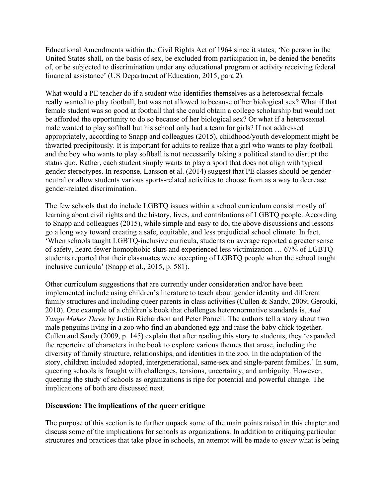Educational Amendments within the Civil Rights Act of 1964 since it states, 'No person in the United States shall, on the basis of sex, be excluded from participation in, be denied the benefits of, or be subjected to discrimination under any educational program or activity receiving federal financial assistance' (US Department of Education, 2015, para 2).

What would a PE teacher do if a student who identifies themselves as a heterosexual female really wanted to play football, but was not allowed to because of her biological sex? What if that female student was so good at football that she could obtain a college scholarship but would not be afforded the opportunity to do so because of her biological sex? Or what if a heterosexual male wanted to play softball but his school only had a team for girls? If not addressed appropriately, according to Snapp and colleagues (2015), childhood/youth development might be thwarted precipitously. It is important for adults to realize that a girl who wants to play football and the boy who wants to play softball is not necessarily taking a political stand to disrupt the status quo. Rather, each student simply wants to play a sport that does not align with typical gender stereotypes. In response, Larsson et al. (2014) suggest that PE classes should be genderneutral or allow students various sports-related activities to choose from as a way to decrease gender-related discrimination.

The few schools that do include LGBTQ issues within a school curriculum consist mostly of learning about civil rights and the history, lives, and contributions of LGBTQ people. According to Snapp and colleagues (2015), while simple and easy to do, the above discussions and lessons go a long way toward creating a safe, equitable, and less prejudicial school climate. In fact, 'When schools taught LGBTQ-inclusive curricula, students on average reported a greater sense of safety, heard fewer homophobic slurs and experienced less victimization … 67% of LGBTQ students reported that their classmates were accepting of LGBTQ people when the school taught inclusive curricula' (Snapp et al., 2015, p. 581).

Other curriculum suggestions that are currently under consideration and/or have been implemented include using children's literature to teach about gender identity and different family structures and including queer parents in class activities (Cullen & Sandy, 2009; Gerouki, 2010). One example of a children's book that challenges heteronormative standards is, *And Tango Makes Three* by Justin Richardson and Peter Parnell. The authors tell a story about two male penguins living in a zoo who find an abandoned egg and raise the baby chick together. Cullen and Sandy (2009, p. 145) explain that after reading this story to students, they 'expanded the repertoire of characters in the book to explore various themes that arose, including the diversity of family structure, relationships, and identities in the zoo. In the adaptation of the story, children included adopted, intergenerational, same-sex and single-parent families.' In sum, queering schools is fraught with challenges, tensions, uncertainty, and ambiguity. However, queering the study of schools as organizations is ripe for potential and powerful change. The implications of both are discussed next.

### **Discussion: The implications of the queer critique**

The purpose of this section is to further unpack some of the main points raised in this chapter and discuss some of the implications for schools as organizations. In addition to critiquing particular structures and practices that take place in schools, an attempt will be made to *queer* what is being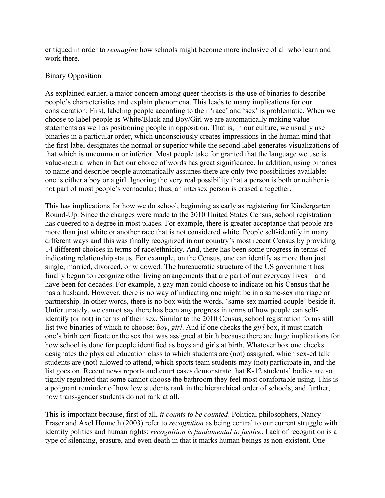critiqued in order to *reimagine* how schools might become more inclusive of all who learn and work there.

### Binary Opposition

As explained earlier, a major concern among queer theorists is the use of binaries to describe people's characteristics and explain phenomena. This leads to many implications for our consideration. First, labeling people according to their 'race' and 'sex' is problematic. When we choose to label people as White/Black and Boy/Girl we are automatically making value statements as well as positioning people in opposition. That is, in our culture, we usually use binaries in a particular order, which unconsciously creates impressions in the human mind that the first label designates the normal or superior while the second label generates visualizations of that which is uncommon or inferior. Most people take for granted that the language we use is value-neutral when in fact our choice of words has great significance. In addition, using binaries to name and describe people automatically assumes there are only two possibilities available: one is either a boy or a girl. Ignoring the very real possibility that a person is both or neither is not part of most people's vernacular; thus, an intersex person is erased altogether.

This has implications for how we do school, beginning as early as registering for Kindergarten Round-Up. Since the changes were made to the 2010 United States Census, school registration has queered to a degree in most places. For example, there is greater acceptance that people are more than just white or another race that is not considered white. People self-identify in many different ways and this was finally recognized in our country's most recent Census by providing 14 different choices in terms of race/ethnicity. And, there has been some progress in terms of indicating relationship status. For example, on the Census, one can identify as more than just single, married, divorced, or widowed. The bureaucratic structure of the US government has finally begun to recognize other living arrangements that are part of our everyday lives – and have been for decades. For example, a gay man could choose to indicate on his Census that he has a husband. However, there is no way of indicating one might be in a same-sex marriage or partnership. In other words, there is no box with the words, 'same-sex married couple' beside it. Unfortunately, we cannot say there has been any progress in terms of how people can selfidentify (or not) in terms of their sex. Similar to the 2010 Census, school registration forms still list two binaries of which to choose: *boy*, *girl*. And if one checks the *girl* box, it must match one's birth certificate or the sex that was assigned at birth because there are huge implications for how school is done for people identified as boys and girls at birth. Whatever box one checks designates the physical education class to which students are (not) assigned, which sex-ed talk students are (not) allowed to attend, which sports team students may (not) participate in, and the list goes on. Recent news reports and court cases demonstrate that K-12 students' bodies are so tightly regulated that some cannot choose the bathroom they feel most comfortable using. This is a poignant reminder of how low students rank in the hierarchical order of schools; and further, how trans-gender students do not rank at all.

This is important because, first of all, *it counts to be counted*. Political philosophers, Nancy Fraser and Axel Honneth (2003) refer to *recognition* as being central to our current struggle with identity politics and human rights; *recognition is fundamental to justice*. Lack of recognition is a type of silencing, erasure, and even death in that it marks human beings as non-existent. One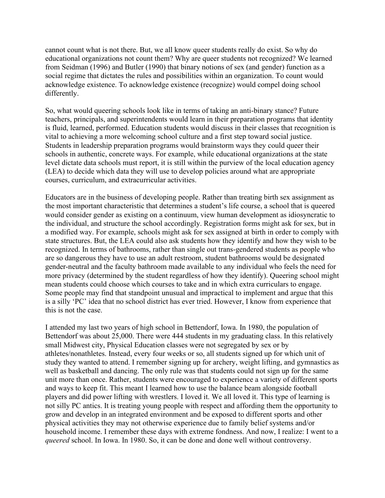cannot count what is not there. But, we all know queer students really do exist. So why do educational organizations not count them? Why are queer students not recognized? We learned from Seidman (1996) and Butler (1990) that binary notions of sex (and gender) function as a social regime that dictates the rules and possibilities within an organization. To count would acknowledge existence. To acknowledge existence (recognize) would compel doing school differently.

So, what would queering schools look like in terms of taking an anti-binary stance? Future teachers, principals, and superintendents would learn in their preparation programs that identity is fluid, learned, performed. Education students would discuss in their classes that recognition is vital to achieving a more welcoming school culture and a first step toward social justice. Students in leadership preparation programs would brainstorm ways they could queer their schools in authentic, concrete ways. For example, while educational organizations at the state level dictate data schools must report, it is still within the purview of the local education agency (LEA) to decide which data they will use to develop policies around what are appropriate courses, curriculum, and extracurricular activities.

Educators are in the business of developing people. Rather than treating birth sex assignment as the most important characteristic that determines a student's life course, a school that is queered would consider gender as existing on a continuum, view human development as idiosyncratic to the individual, and structure the school accordingly. Registration forms might ask for sex, but in a modified way. For example, schools might ask for sex assigned at birth in order to comply with state structures. But, the LEA could also ask students how they identify and how they wish to be recognized. In terms of bathrooms, rather than single out trans-gendered students as people who are so dangerous they have to use an adult restroom, student bathrooms would be designated gender-neutral and the faculty bathroom made available to any individual who feels the need for more privacy (determined by the student regardless of how they identify). Queering school might mean students could choose which courses to take and in which extra curriculars to engage. Some people may find that standpoint unusual and impractical to implement and argue that this is a silly 'PC' idea that no school district has ever tried. However, I know from experience that this is not the case.

I attended my last two years of high school in Bettendorf, Iowa. In 1980, the population of Bettendorf was about 25,000. There were 444 students in my graduating class. In this relatively small Midwest city, Physical Education classes were not segregated by sex or by athletes/nonathletes. Instead, every four weeks or so, all students signed up for which unit of study they wanted to attend. I remember signing up for archery, weight lifting, and gymnastics as well as basketball and dancing. The only rule was that students could not sign up for the same unit more than once. Rather, students were encouraged to experience a variety of different sports and ways to keep fit. This meant I learned how to use the balance beam alongside football players and did power lifting with wrestlers. I loved it. We all loved it. This type of learning is not silly PC antics. It is treating young people with respect and affording them the opportunity to grow and develop in an integrated environment and be exposed to different sports and other physical activities they may not otherwise experience due to family belief systems and/or household income. I remember these days with extreme fondness. And now, I realize: I went to a *queered* school. In Iowa. In 1980. So, it can be done and done well without controversy.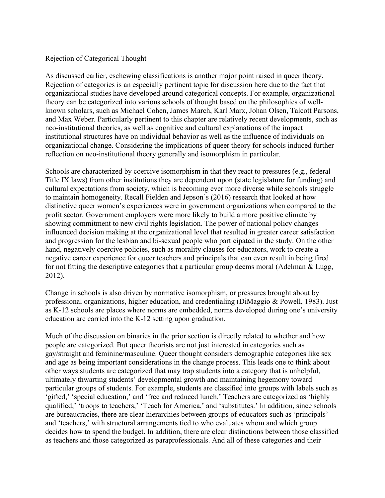### Rejection of Categorical Thought

As discussed earlier, eschewing classifications is another major point raised in queer theory. Rejection of categories is an especially pertinent topic for discussion here due to the fact that organizational studies have developed around categorical concepts. For example, organizational theory can be categorized into various schools of thought based on the philosophies of wellknown scholars, such as Michael Cohen, James March, Karl Marx, Johan Olsen, Talcott Parsons, and Max Weber. Particularly pertinent to this chapter are relatively recent developments, such as neo-institutional theories, as well as cognitive and cultural explanations of the impact institutional structures have on individual behavior as well as the influence of individuals on organizational change. Considering the implications of queer theory for schools induced further reflection on neo-institutional theory generally and isomorphism in particular.

Schools are characterized by coercive isomorphism in that they react to pressures (e.g., federal Title IX laws) from other institutions they are dependent upon (state legislature for funding) and cultural expectations from society, which is becoming ever more diverse while schools struggle to maintain homogeneity. Recall Fielden and Jepson's (2016) research that looked at how distinctive queer women's experiences were in government organizations when compared to the profit sector. Government employers were more likely to build a more positive climate by showing commitment to new civil rights legislation. The power of national policy changes influenced decision making at the organizational level that resulted in greater career satisfaction and progression for the lesbian and bi-sexual people who participated in the study. On the other hand, negatively coercive policies, such as morality clauses for educators, work to create a negative career experience for queer teachers and principals that can even result in being fired for not fitting the descriptive categories that a particular group deems moral (Adelman & Lugg, 2012).

Change in schools is also driven by normative isomorphism, or pressures brought about by professional organizations, higher education, and credentialing (DiMaggio & Powell, 1983). Just as K-12 schools are places where norms are embedded, norms developed during one's university education are carried into the K-12 setting upon graduation.

Much of the discussion on binaries in the prior section is directly related to whether and how people are categorized. But queer theorists are not just interested in categories such as gay/straight and feminine/masculine. Queer thought considers demographic categories like sex and age as being important considerations in the change process. This leads one to think about other ways students are categorized that may trap students into a category that is unhelpful, ultimately thwarting students' developmental growth and maintaining hegemony toward particular groups of students. For example, students are classified into groups with labels such as 'gifted,' 'special education,' and 'free and reduced lunch.' Teachers are categorized as 'highly qualified,' 'troops to teachers,' 'Teach for America,' and 'substitutes.' In addition, since schools are bureaucracies, there are clear hierarchies between groups of educators such as 'principals' and 'teachers,' with structural arrangements tied to who evaluates whom and which group decides how to spend the budget. In addition, there are clear distinctions between those classified as teachers and those categorized as paraprofessionals. And all of these categories and their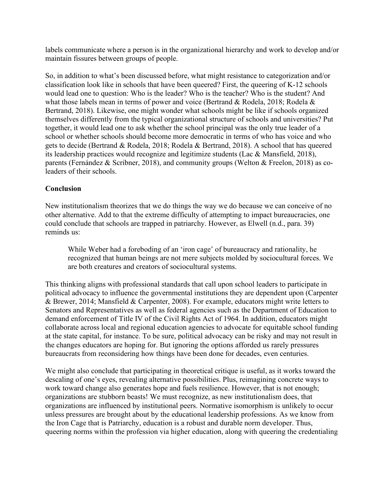labels communicate where a person is in the organizational hierarchy and work to develop and/or maintain fissures between groups of people.

So, in addition to what's been discussed before, what might resistance to categorization and/or classification look like in schools that have been queered? First, the queering of K-12 schools would lead one to question: Who is the leader? Who is the teacher? Who is the student? And what those labels mean in terms of power and voice (Bertrand & Rodela, 2018; Rodela & Bertrand, 2018). Likewise, one might wonder what schools might be like if schools organized themselves differently from the typical organizational structure of schools and universities? Put together, it would lead one to ask whether the school principal was the only true leader of a school or whether schools should become more democratic in terms of who has voice and who gets to decide (Bertrand & Rodela, 2018; Rodela & Bertrand, 2018). A school that has queered its leadership practices would recognize and legitimize students (Lac & Mansfield, 2018), parents (Fernández & Scribner, 2018), and community groups (Welton & Freelon, 2018) as coleaders of their schools.

# **Conclusion**

New institutionalism theorizes that we do things the way we do because we can conceive of no other alternative. Add to that the extreme difficulty of attempting to impact bureaucracies, one could conclude that schools are trapped in patriarchy. However, as Elwell (n.d., para. 39) reminds us:

While Weber had a foreboding of an 'iron cage' of bureaucracy and rationality, he recognized that human beings are not mere subjects molded by sociocultural forces. We are both creatures and creators of sociocultural systems.

This thinking aligns with professional standards that call upon school leaders to participate in political advocacy to influence the governmental institutions they are dependent upon (Carpenter & Brewer, 2014; Mansfield & Carpenter, 2008). For example, educators might write letters to Senators and Representatives as well as federal agencies such as the Department of Education to demand enforcement of Title IV of the Civil Rights Act of 1964. In addition, educators might collaborate across local and regional education agencies to advocate for equitable school funding at the state capital, for instance. To be sure, political advocacy can be risky and may not result in the changes educators are hoping for. But ignoring the options afforded us rarely pressures bureaucrats from reconsidering how things have been done for decades, even centuries.

We might also conclude that participating in theoretical critique is useful, as it works toward the descaling of one's eyes, revealing alternative possibilities. Plus, reimagining concrete ways to work toward change also generates hope and fuels resilience. However, that is not enough; organizations are stubborn beasts! We must recognize, as new institutionalism does, that organizations are influenced by institutional peers. Normative isomorphism is unlikely to occur unless pressures are brought about by the educational leadership professions. As we know from the Iron Cage that is Patriarchy, education is a robust and durable norm developer. Thus, queering norms within the profession via higher education, along with queering the credentialing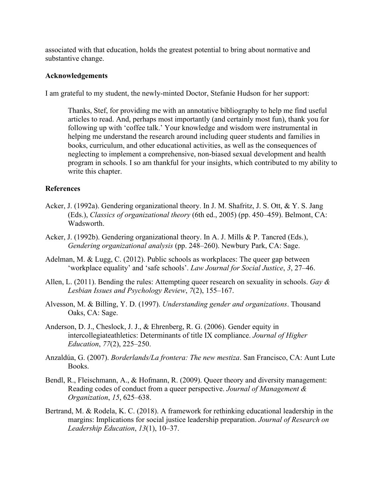associated with that education, holds the greatest potential to bring about normative and substantive change.

#### **Acknowledgements**

I am grateful to my student, the newly-minted Doctor, Stefanie Hudson for her support:

Thanks, Stef, for providing me with an annotative bibliography to help me find useful articles to read. And, perhaps most importantly (and certainly most fun), thank you for following up with 'coffee talk.' Your knowledge and wisdom were instrumental in helping me understand the research around including queer students and families in books, curriculum, and other educational activities, as well as the consequences of neglecting to implement a comprehensive, non-biased sexual development and health program in schools. I so am thankful for your insights, which contributed to my ability to write this chapter.

### **References**

- Acker, J. (1992a). Gendering organizational theory. In J. M. Shafritz, J. S. Ott, & Y. S. Jang (Eds.), *Classics of organizational theory* (6th ed., 2005) (pp. 450–459). Belmont, CA: Wadsworth.
- Acker, J. (1992b). Gendering organizational theory. In A. J. Mills & P. Tancred (Eds.), *Gendering organizational analysis* (pp. 248–260). Newbury Park, CA: Sage.
- Adelman, M. & Lugg, C. (2012). Public schools as workplaces: The queer gap between 'workplace equality' and 'safe schools'. *Law Journal for Social Justice*, *3*, 27–46.
- Allen, L. (2011). Bending the rules: Attempting queer research on sexuality in schools. *Gay & Lesbian Issues and Psychology Review*, *7*(2), 155–167.
- Alvesson, M. & Billing, Y. D. (1997). *Understanding gender and organizations*. Thousand Oaks, CA: Sage.
- Anderson, D. J., Cheslock, J. J., & Ehrenberg, R. G. (2006). Gender equity in intercollegiateathletics: Determinants of title IX compliance. *Journal of Higher Education*, *77*(2), 225–250.
- Anzaldúa, G. (2007). *Borderlands/La frontera: The new mestiza*. San Francisco, CA: Aunt Lute Books.
- Bendl, R., Fleischmann, A., & Hofmann, R. (2009). Queer theory and diversity management: Reading codes of conduct from a queer perspective. *Journal of Management & Organization*, *15*, 625–638.
- Bertrand, M. & Rodela, K. C. (2018). A framework for rethinking educational leadership in the margins: Implications for social justice leadership preparation. *Journal of Research on Leadership Education*, *13*(1), 10–37.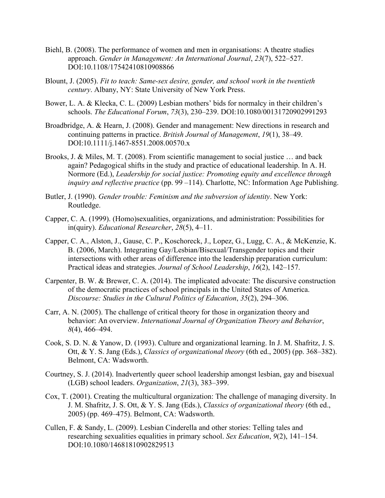- Biehl, B. (2008). The performance of women and men in organisations: A theatre studies approach. *Gender in Management: An International Journal*, *23*(7), 522–527. DOI:10.1108/17542410810908866
- Blount, J. (2005). *Fit to teach: Same-sex desire, gender, and school work in the twentieth century*. Albany, NY: State University of New York Press.
- Bower, L. A. & Klecka, C. L. (2009) Lesbian mothers' bids for normalcy in their children's schools. *The Educational Forum*, *73*(3), 230–239. DOI:10.1080/00131720902991293
- Broadbridge, A. & Hearn, J. (2008). Gender and management: New directions in research and continuing patterns in practice. *British Journal of Management*, *19*(1), 38–49. DOI:10.1111/j.1467-8551.2008.00570.x
- Brooks, J. & Miles, M. T. (2008). From scientific management to social justice … and back again? Pedagogical shifts in the study and practice of educational leadership. In A. H. Normore (Ed.), *Leadership for social justice: Promoting equity and excellence through inquiry and reflective practice* (pp. 99 –114). Charlotte, NC: Information Age Publishing.
- Butler, J. (1990). *Gender trouble: Feminism and the subversion of identity*. New York: Routledge.
- Capper, C. A. (1999). (Homo)sexualities, organizations, and administration: Possibilities for in(quiry). *Educational Researcher*, *28*(5), 4–11.
- Capper, C. A., Alston, J., Gause, C. P., Koschoreck, J., Lopez, G., Lugg, C. A., & McKenzie, K. B. (2006, March). Integrating Gay/Lesbian/Bisexual/Transgender topics and their intersections with other areas of difference into the leadership preparation curriculum: Practical ideas and strategies. *Journal of School Leadership*, *16*(2), 142–157.
- Carpenter, B. W. & Brewer, C. A. (2014). The implicated advocate: The discursive construction of the democratic practices of school principals in the United States of America. *Discourse: Studies in the Cultural Politics of Education*, *35*(2), 294–306.
- Carr, A. N. (2005). The challenge of critical theory for those in organization theory and behavior: An overview. *International Journal of Organization Theory and Behavior*, *8*(4), 466–494.
- Cook, S. D. N. & Yanow, D. (1993). Culture and organizational learning. In J. M. Shafritz, J. S. Ott, & Y. S. Jang (Eds.), *Classics of organizational theory* (6th ed., 2005) (pp. 368–382). Belmont, CA: Wadsworth.
- Courtney, S. J. (2014). Inadvertently queer school leadership amongst lesbian, gay and bisexual (LGB) school leaders. *Organization*, *21*(3), 383–399.
- Cox, T. (2001). Creating the multicultural organization: The challenge of managing diversity. In J. M. Shafritz, J. S. Ott, & Y. S. Jang (Eds.), *Classics of organizational theory* (6th ed., 2005) (pp. 469–475). Belmont, CA: Wadsworth.
- Cullen, F. & Sandy, L. (2009). Lesbian Cinderella and other stories: Telling tales and researching sexualities equalities in primary school. *Sex Education*, *9*(2), 141–154. DOI:10.1080/14681810902829513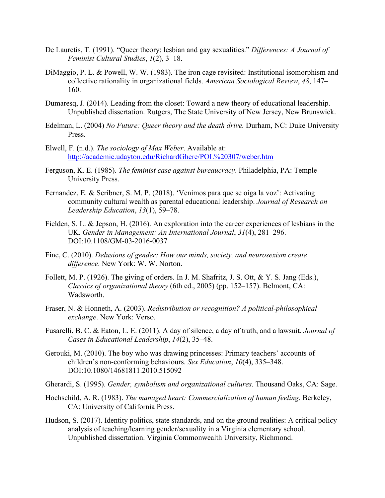- De Lauretis, T. (1991). "Queer theory: lesbian and gay sexualities." *Differences: A Journal of Feminist Cultural Studies*, *1*(2), 3–18.
- DiMaggio, P. L. & Powell, W. W. (1983). The iron cage revisited: Institutional isomorphism and collective rationality in organizational fields. *American Sociological Review*, *48*, 147– 160.
- Dumaresq, J. (2014). Leading from the closet: Toward a new theory of educational leadership. Unpublished dissertation. Rutgers, The State University of New Jersey, New Brunswick.
- Edelman, L. (2004) *No Future: Queer theory and the death drive.* Durham, NC: Duke University Press.
- Elwell, F. (n.d.). *The sociology of Max Weber*. Available at: <http://academic.udayton.edu/RichardGhere/POL%20307/weber.htm>
- Ferguson, K. E. (1985). *The feminist case against bureaucracy*. Philadelphia, PA: Temple University Press.
- Fernandez, E. & Scribner, S. M. P. (2018). 'Venimos para que se oiga la voz': Activating community cultural wealth as parental educational leadership. *Journal of Research on Leadership Education*, *13*(1), 59–78.
- Fielden, S. L. & Jepson, H. (2016). An exploration into the career experiences of lesbians in the UK. *Gender in Management: An International Journal*, *31*(4), 281–296. DOI:10.1108/GM-03-2016-0037
- Fine, C. (2010). *Delusions of gender: How our minds, society, and neurosexism create difference*. New York: W. W. Norton.
- Follett, M. P. (1926). The giving of orders. In J. M. Shafritz, J. S. Ott, & Y. S. Jang (Eds.), *Classics of organizational theory* (6th ed., 2005) (pp. 152–157). Belmont, CA: Wadsworth.
- Fraser, N. & Honneth, A. (2003). *Redistribution or recognition? A political-philosophical exchange*. New York: Verso.
- Fusarelli, B. C. & Eaton, L. E. (2011). A day of silence, a day of truth, and a lawsuit. *Journal of Cases in Educational Leadership*, *14*(2), 35–48.
- Gerouki, M. (2010). The boy who was drawing princesses: Primary teachers' accounts of children's non-conforming behaviours. *Sex Education*, *10*(4), 335–348. DOI:10.1080/14681811.2010.515092
- Gherardi, S. (1995). *Gender, symbolism and organizational cultures*. Thousand Oaks, CA: Sage.
- Hochschild, A. R. (1983). *The managed heart: Commercialization of human feeling*. Berkeley, CA: University of California Press.
- Hudson, S. (2017). Identity politics, state standards, and on the ground realities: A critical policy analysis of teaching/learning gender/sexuality in a Virginia elementary school. Unpublished dissertation. Virginia Commonwealth University, Richmond.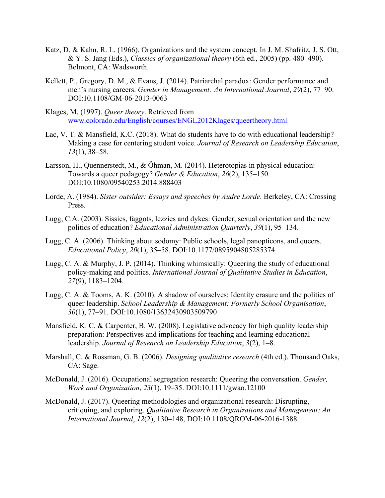- Katz, D. & Kahn, R. L. (1966). Organizations and the system concept. In J. M. Shafritz, J. S. Ott, & Y. S. Jang (Eds.), *Classics of organizational theory* (6th ed., 2005) (pp. 480–490). Belmont, CA: Wadsworth.
- Kellett, P., Gregory, D. M., & Evans, J. (2014). Patriarchal paradox: Gender performance and men's nursing careers. *Gender in Management: An International Journal*, *29*(2), 77–90. DOI:10.1108/GM-06-2013-0063
- Klages, M. (1997). *Queer theory*. Retrieved from [www.colorado.edu/English/courses/ENGL2012Klages/queertheory.html](http://www.colorado.edu/English/courses/ENGL2012Klages/queertheory.html)
- Lac, V. T. & Mansfield, K.C. (2018). What do students have to do with educational leadership? Making a case for centering student voice. *Journal of Research on Leadership Education*, *13*(1), 38–58.
- Larsson, H., Quennerstedt, M., & Öhman, M. (2014). Heterotopias in physical education: Towards a queer pedagogy? *Gender & Education*, *26*(2), 135–150. DOI:10.1080/09540253.2014.888403
- Lorde, A. (1984). *Sister outsider: Essays and speeches by Audre Lorde*. Berkeley, CA: Crossing Press.
- Lugg, C.A. (2003). Sissies, faggots, lezzies and dykes: Gender, sexual orientation and the new politics of education? *Educational Administration Quarterly*, *39*(1), 95–134.
- Lugg, C. A. (2006). Thinking about sodomy: Public schools, legal panopticons, and queers. *Educational Policy*, *20*(1), 35–58. DOI:10.1177/0895904805285374
- Lugg, C. A. & Murphy, J. P. (2014). Thinking whimsically: Queering the study of educational policy-making and politics. *International Journal of Qualitative Studies in Education*, *27*(9), 1183–1204.
- Lugg, C. A. & Tooms, A. K. (2010). A shadow of ourselves: Identity erasure and the politics of queer leadership. *School Leadership & Management: Formerly School Organisation*, *30*(1), 77–91. DOI:10.1080/13632430903509790
- Mansfield, K. C. & Carpenter, B. W. (2008). Legislative advocacy for high quality leadership preparation: Perspectives and implications for teaching and learning educational leadership. *Journal of Research on Leadership Education*, *3*(2), 1–8.
- Marshall, C. & Rossman, G. B. (2006). *Designing qualitative research* (4th ed.). Thousand Oaks, CA: Sage.
- McDonald, J. (2016). Occupational segregation research: Queering the conversation. *Gender, Work and Organization*, *23*(1), 19–35. DOI:10.1111/gwao.12100
- McDonald, J. (2017). Queering methodologies and organizational research: Disrupting, critiquing, and exploring. *Qualitative Research in Organizations and Management: An International Journal*, *12*(2), 130–148, DOI:10.1108/QROM-06-2016-1388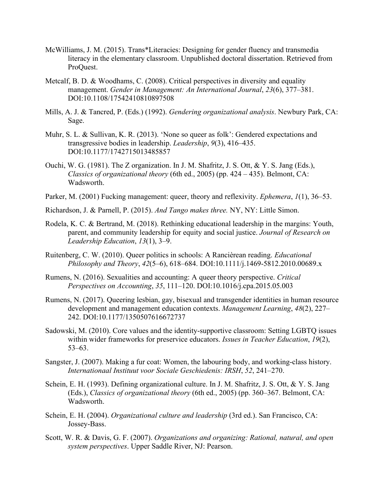- McWilliams, J. M. (2015). Trans\*Literacies: Designing for gender fluency and transmedia literacy in the elementary classroom. Unpublished doctoral dissertation. Retrieved from ProQuest.
- Metcalf, B. D. & Woodhams, C. (2008). Critical perspectives in diversity and equality management. *Gender in Management: An International Journal*, *23*(6), 377–381. DOI:10.1108/17542410810897508
- Mills, A. J. & Tancred, P. (Eds.) (1992). *Gendering organizational analysis*. Newbury Park, CA: Sage.
- Muhr, S. L. & Sullivan, K. R. (2013). 'None so queer as folk': Gendered expectations and transgressive bodies in leadership. *Leadership*, *9*(3), 416–435. DOI:10.1177/1742715013485857
- Ouchi, W. G. (1981). The Z organization. In J. M. Shafritz, J. S. Ott, & Y. S. Jang (Eds.), *Classics of organizational theory* (6th ed., 2005) (pp. 424 – 435). Belmont, CA: Wadsworth.
- Parker, M. (2001) Fucking management: queer, theory and reflexivity. *Ephemera*, *1*(1), 36–53.
- Richardson, J. & Parnell, P. (2015). *And Tango makes three.* NY, NY: Little Simon.
- Rodela, K. C. & Bertrand, M. (2018). Rethinking educational leadership in the margins: Youth, parent, and community leadership for equity and social justice. *Journal of Research on Leadership Education*, *13*(1), 3–9.
- Ruitenberg, C. W. (2010). Queer politics in schools: A Rancièrean reading. *Educational Philosophy and Theory*, *42*(5–6), 618–684. DOI:10.1111/j.1469-5812.2010.00689.x
- Rumens, N. (2016). Sexualities and accounting: A queer theory perspective. *Critical Perspectives on Accounting*, *35*, 111–120. DOI:10.1016/j.cpa.2015.05.003
- Rumens, N. (2017). Queering lesbian, gay, bisexual and transgender identities in human resource development and management education contexts. *Management Learning*, *48*(2), 227– 242. DOI:10.1177/1350507616672737
- Sadowski, M. (2010). Core values and the identity-supportive classroom: Setting LGBTQ issues within wider frameworks for preservice educators. *Issues in Teacher Education*, *19*(2), 53–63.
- Sangster, J. (2007). Making a fur coat: Women, the labouring body, and working-class history. *Internationaal Instituut voor Sociale Geschiedenis: IRSH*, *52*, 241–270.
- Schein, E. H. (1993). Defining organizational culture. In J. M. Shafritz, J. S. Ott, & Y. S. Jang (Eds.), *Classics of organizational theory* (6th ed., 2005) (pp. 360–367. Belmont, CA: Wadsworth.
- Schein, E. H. (2004). *Organizational culture and leadership* (3rd ed.). San Francisco, CA: Jossey-Bass.
- Scott, W. R. & Davis, G. F. (2007). *Organizations and organizing: Rational, natural, and open system perspectives*. Upper Saddle River, NJ: Pearson.